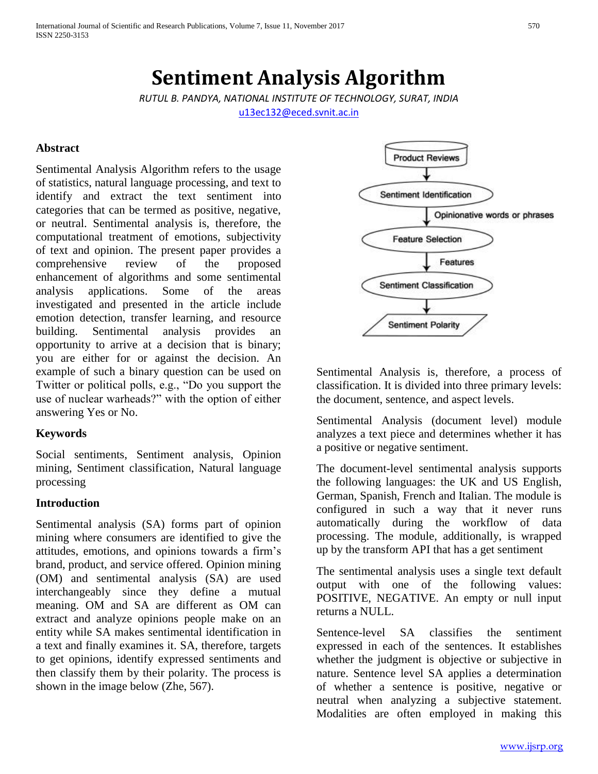# **Sentiment Analysis Algorithm**

*RUTUL B. PANDYA, NATIONAL INSTITUTE OF TECHNOLOGY, SURAT, INDIA* [u13ec132@eced.svnit.ac.in](mailto:u13ec132@eced.svnit.ac.in)

#### **Abstract**

Sentimental Analysis Algorithm refers to the usage of statistics, natural language processing, and text to identify and extract the text sentiment into categories that can be termed as positive, negative, or neutral. Sentimental analysis is, therefore, the computational treatment of emotions, subjectivity of text and opinion. The present paper provides a comprehensive review of the proposed enhancement of algorithms and some sentimental analysis applications. Some of the areas investigated and presented in the article include emotion detection, transfer learning, and resource building. Sentimental analysis provides an opportunity to arrive at a decision that is binary; you are either for or against the decision. An example of such a binary question can be used on Twitter or political polls, e.g., "Do you support the use of nuclear warheads?" with the option of either answering Yes or No.

## **Keywords**

Social sentiments, Sentiment analysis, Opinion mining, Sentiment classification, Natural language processing

#### **Introduction**

Sentimental analysis (SA) forms part of opinion mining where consumers are identified to give the attitudes, emotions, and opinions towards a firm's brand, product, and service offered. Opinion mining (OM) and sentimental analysis (SA) are used interchangeably since they define a mutual meaning. OM and SA are different as OM can extract and analyze opinions people make on an entity while SA makes sentimental identification in a text and finally examines it. SA, therefore, targets to get opinions, identify expressed sentiments and then classify them by their polarity. The process is shown in the image below (Zhe, 567).



Sentimental Analysis is, therefore, a process of classification. It is divided into three primary levels: the document, sentence, and aspect levels.

Sentimental Analysis (document level) module analyzes a text piece and determines whether it has a positive or negative sentiment.

The document-level sentimental analysis supports the following languages: the UK and US English, German, Spanish, French and Italian. The module is configured in such a way that it never runs automatically during the workflow of data processing. The module, additionally, is wrapped up by the transform API that has a get sentiment

The sentimental analysis uses a single text default output with one of the following values: POSITIVE, NEGATIVE. An empty or null input returns a NULL.

Sentence-level SA classifies the sentiment expressed in each of the sentences. It establishes whether the judgment is objective or subjective in nature. Sentence level SA applies a determination of whether a sentence is positive, negative or neutral when analyzing a subjective statement. Modalities are often employed in making this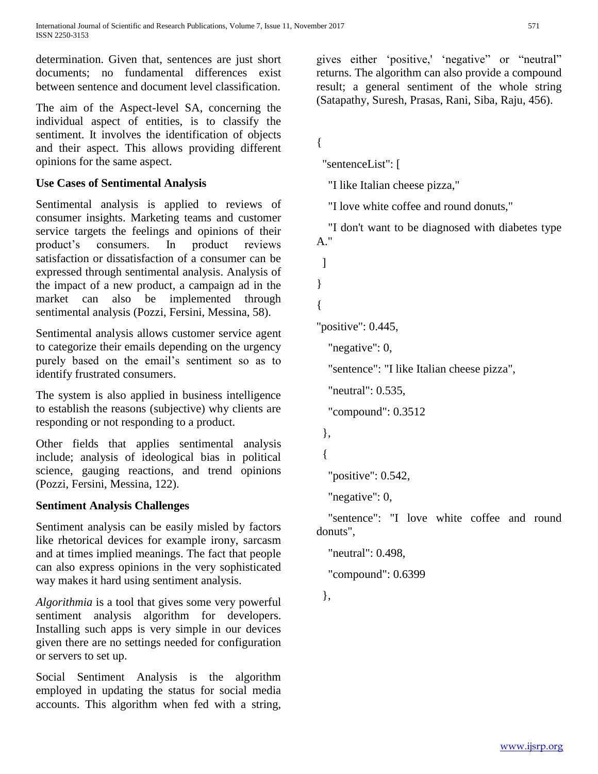determination. Given that, sentences are just short documents; no fundamental differences exist between sentence and document level classification.

The aim of the Aspect-level SA, concerning the individual aspect of entities, is to classify the sentiment. It involves the identification of objects and their aspect. This allows providing different opinions for the same aspect.

# **Use Cases of Sentimental Analysis**

Sentimental analysis is applied to reviews of consumer insights. Marketing teams and customer service targets the feelings and opinions of their product's consumers. In product reviews satisfaction or dissatisfaction of a consumer can be expressed through sentimental analysis. Analysis of the impact of a new product, a campaign ad in the market can also be implemented through sentimental analysis (Pozzi, Fersini, Messina, 58).

Sentimental analysis allows customer service agent to categorize their emails depending on the urgency purely based on the email's sentiment so as to identify frustrated consumers.

The system is also applied in business intelligence to establish the reasons (subjective) why clients are responding or not responding to a product.

Other fields that applies sentimental analysis include; analysis of ideological bias in political science, gauging reactions, and trend opinions (Pozzi, Fersini, Messina, 122).

# **Sentiment Analysis Challenges**

Sentiment analysis can be easily misled by factors like rhetorical devices for example irony, sarcasm and at times implied meanings. The fact that people can also express opinions in the very sophisticated way makes it hard using sentiment analysis.

*Algorithmia* is a tool that gives some very powerful sentiment analysis algorithm for developers. Installing such apps is very simple in our devices given there are no settings needed for configuration or servers to set up.

Social Sentiment Analysis is the algorithm employed in updating the status for social media accounts. This algorithm when fed with a string,

gives either 'positive,' 'negative" or "neutral" returns. The algorithm can also provide a compound result; a general sentiment of the whole string (Satapathy, Suresh, Prasas, Rani, Siba, Raju, 456).

```
{
```
"sentenceList": [

"I like Italian cheese pizza,"

"I love white coffee and round donuts,"

 "I don't want to be diagnosed with diabetes type A."

]

}

{

```
"positive": 0.445,
```
"negative": 0,

"sentence": "I like Italian cheese pizza",

"neutral": 0.535,

"compound": 0.3512

},

{

"positive": 0.542,

"negative": 0,

 "sentence": "I love white coffee and round donuts",

"neutral": 0.498,

"compound": 0.6399

},